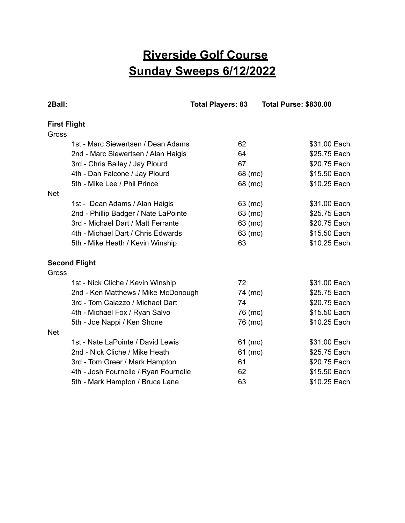## **Riverside Golf Course Sunday Sweeps 6/12/2022**

| 2Ball:                                | <b>Total Players: 83</b> | <b>Total Purse: \$830.00</b> |
|---------------------------------------|--------------------------|------------------------------|
| <b>First Flight</b>                   |                          |                              |
| Gross                                 |                          |                              |
| 1st - Marc Siewertsen / Dean Adams    | 62                       | \$31.00 Each                 |
| 2nd - Marc Siewertsen / Alan Haigis   | 64                       | \$25.75 Each                 |
| 3rd - Chris Bailey / Jay Plourd       | 67                       | \$20.75 Each                 |
| 4th - Dan Falcone / Jay Plourd        | 68 (mc)                  | \$15.50 Each                 |
| 5th - Mike Lee / Phil Prince          | 68 (mc)                  | \$10.25 Each                 |
| <b>Net</b>                            |                          |                              |
| 1st - Dean Adams / Alan Haigis        | 63 (mc)                  | \$31.00 Each                 |
| 2nd - Phillip Badger / Nate LaPointe  | 63 (mc)                  | \$25.75 Each                 |
| 3rd - Michael Dart / Matt Ferrante    | 63 (mc)                  | \$20.75 Each                 |
| 4th - Michael Dart / Chris Edwards    | 63 (mc)                  | \$15.50 Each                 |
| 5th - Mike Heath / Kevin Winship      | 63                       | \$10.25 Each                 |
| <b>Second Flight</b>                  |                          |                              |
| Gross                                 |                          |                              |
| 1st - Nick Cliche / Kevin Winship     | 72                       | \$31.00 Each                 |
| 2nd - Ken Matthews / Mike McDonough   | 74 (mc)                  | \$25.75 Each                 |
| 3rd - Tom Caiazzo / Michael Dart      | 74                       | \$20.75 Each                 |
| 4th - Michael Fox / Ryan Salvo        | 76 (mc)                  | \$15.50 Each                 |
| 5th - Joe Nappi / Ken Shone           | 76 (mc)                  | \$10.25 Each                 |
| <b>Net</b>                            |                          |                              |
| 1st - Nate LaPointe / David Lewis     | 61 (mc)                  | \$31.00 Each                 |
| 2nd - Nick Cliche / Mike Heath        | 61 (mc)                  | \$25.75 Each                 |
| 3rd - Tom Greer / Mark Hampton        | 61                       | \$20.75 Each                 |
| 4th - Josh Fournelle / Ryan Fournelle | 62                       | \$15.50 Each                 |
| 5th - Mark Hampton / Bruce Lane       | 63                       | \$10.25 Each                 |